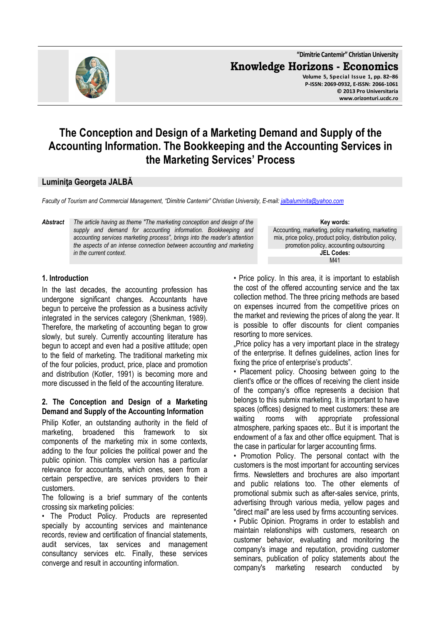

# **The Conception and Design of a Marketing Demand and Supply of the Accounting Information. The Bookkeeping and the Accounting Services in the Marketing Services' Process**

## **Luminiţa Georgeta JALBĂ**

*Faculty of Tourism and Commercial Management, "Dimitrie Cantemir" Christian University, E-mail: jalbaluminita@yahoo.com*

*Abstract The article having as theme "The marketing conception and design of the supply and demand for accounting information. Bookkeeping and accounting services marketing process", brings into the reader's attention the aspects of an intense connection between accounting and marketing in the current context.* 

#### **1. Introduction**

In the last decades, the accounting profession has undergone significant changes. Accountants have begun to perceive the profession as a business activity integrated in the services category (Shenkman, 1989). Therefore, the marketing of accounting began to grow slowly, but surely. Currently accounting literature has begun to accept and even had a positive attitude; open to the field of marketing. The traditional marketing mix of the four policies, product, price, place and promotion and distribution (Kotler, 1991) is becoming more and more discussed in the field of the accounting literature.

#### **2. The Conception and Design of a Marketing Demand and Supply of the Accounting Information**

Philip Kotler, an outstanding authority in the field of marketing, broadened this framework to six components of the marketing mix in some contexts, adding to the four policies the political power and the public opinion. This complex version has a particular relevance for accountants, which ones, seen from a certain perspective, are services providers to their customers.

The following is a brief summary of the contents crossing six marketing policies:

• The Product Policy. Products are represented specially by accounting services and maintenance records, review and certification of financial statements, audit services, tax services and management consultancy services etc. Finally, these services converge and result in accounting information.

**Key words:** Accounting, marketing, policy marketing, marketing mix, price policy, product policy, distribution policy, promotion policy, accounting outsourcing **JEL Codes:** M41

• Price policy. In this area, it is important to establish the cost of the offered accounting service and the tax collection method. The three pricing methods are based on expenses incurred from the competitive prices on the market and reviewing the prices of along the year. It is possible to offer discounts for client companies resorting to more services.

"Price policy has a very important place in the strategy of the enterprise. It defines guidelines, action lines for fixing the price of enterprise's products".

• Placement policy. Choosing between going to the client's office or the offices of receiving the client inside of the company's office represents a decision that belongs to this submix marketing. It is important to have spaces (offices) designed to meet customers: these are waiting rooms with appropriate professional atmosphere, parking spaces etc.. But it is important the endowment of a fax and other office equipment. That is the case in particular for larger accounting firms.

• Promotion Policy. The personal contact with the customers is the most important for accounting services firms. Newsletters and brochures are also important and public relations too. The other elements of promotional submix such as after-sales service, prints, advertising through various media, yellow pages and "direct mail" are less used by firms accounting services.

• Public Opinion. Programs in order to establish and maintain relationships with customers, research on customer behavior, evaluating and monitoring the company's image and reputation, providing customer seminars, publication of policy statements about the company's marketing research conducted by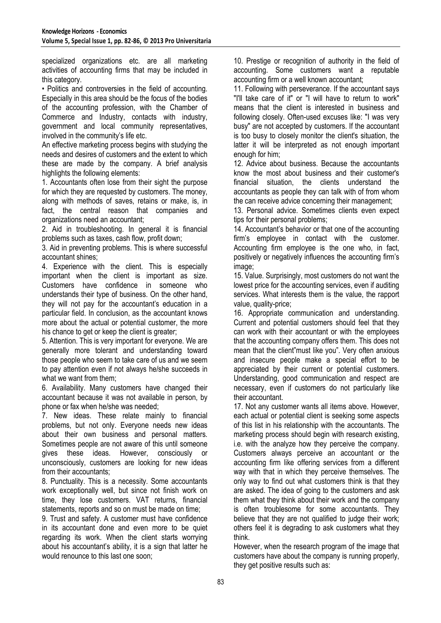specialized organizations etc. are all marketing activities of accounting firms that may be included in this category.

• Politics and controversies in the field of accounting. Especially in this area should be the focus of the bodies of the accounting profession, with the Chamber of Commerce and Industry, contacts with industry, government and local community representatives, involved in the community's life etc.

An effective marketing process begins with studying the needs and desires of customers and the extent to which these are made by the company. A brief analysis highlights the following elements:

1. Accountants often lose from their sight the purpose for which they are requested by customers. The money, along with methods of saves, retains or make, is, in fact, the central reason that companies and organizations need an accountant;

2. Aid in troubleshooting. In general it is financial problems such as taxes, cash flow, profit down;

3. Aid in preventing problems. This is where successful accountant shines;

4. Experience with the client. This is especially important when the client is important as size. Customers have confidence in someone who understands their type of business. On the other hand, they will not pay for the accountant's education in a particular field. In conclusion, as the accountant knows more about the actual or potential customer, the more his chance to get or keep the client is greater;

5. Attention. This is very important for everyone. We are generally more tolerant and understanding toward those people who seem to take care of us and we seem to pay attention even if not always he/she succeeds in what we want from them;

6. Availability. Many customers have changed their accountant because it was not available in person, by phone or fax when he/she was needed;

7. New ideas. These relate mainly to financial problems, but not only. Everyone needs new ideas about their own business and personal matters. Sometimes people are not aware of this until someone gives these ideas. However, consciously or unconsciously, customers are looking for new ideas from their accountants;

8. Punctuality. This is a necessity. Some accountants work exceptionally well, but since not finish work on time, they lose customers. VAT returns, financial statements, reports and so on must be made on time;

9. Trust and safety. A customer must have confidence in its accountant done and even more to be quiet regarding its work. When the client starts worrying about his accountant's ability, it is a sign that latter he would renounce to this last one soon;

10. Prestige or recognition of authority in the field of accounting. Some customers want a reputable accounting firm or a well known accountant;

11. Following with perseverance. If the accountant says "I'll take care of it" or "I will have to return to work" means that the client is interested in business and following closely. Often-used excuses like: "I was very busy" are not accepted by customers. If the accountant is too busy to closely monitor the client's situation, the latter it will be interpreted as not enough important enough for him;

12. Advice about business. Because the accountants know the most about business and their customer's financial situation, the clients understand the accountants as people they can talk with of from whom the can receive advice concerning their management;

13. Personal advice. Sometimes clients even expect tips for their personal problems;

14. Accountant's behavior or that one of the accounting firm's employee in contact with the customer. Accounting firm employee is the one who, in fact, positively or negatively influences the accounting firm's image;

15. Value. Surprisingly, most customers do not want the lowest price for the accounting services, even if auditing services. What interests them is the value, the rapport value, quality-price;

16. Appropriate communication and understanding. Current and potential customers should feel that they can work with their accountant or with the employees that the accounting company offers them. This does not mean that the client"must like you". Very often anxious and insecure people make a special effort to be appreciated by their current or potential customers. Understanding, good communication and respect are necessary, even if customers do not particularly like their accountant.

17. Not any customer wants all items above. However, each actual or potential client is seeking some aspects of this list in his relationship with the accountants. The marketing process should begin with research existing, i.e. with the analyze how they perceive the company. Customers always perceive an accountant or the accounting firm like offering services from a different way with that in which they perceive themselves. The only way to find out what customers think is that they are asked. The idea of going to the customers and ask them what they think about their work and the company is often troublesome for some accountants. They believe that they are not qualified to judge their work; others feel it is degrading to ask customers what they think.

However, when the research program of the image that customers have about the company is running properly, they get positive results such as: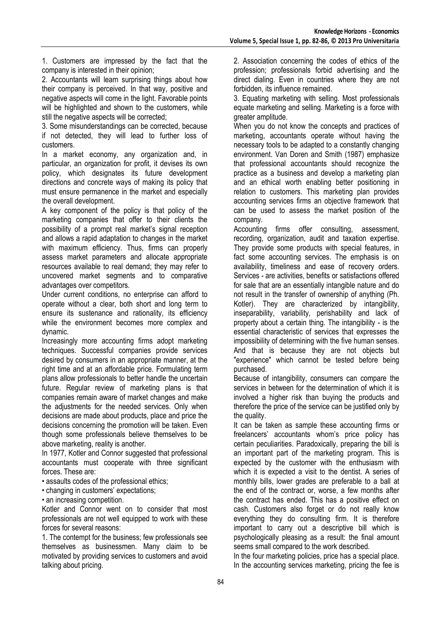1. Customers are impressed by the fact that the company is interested in their opinion;

2. Accountants will learn surprising things about how their company is perceived. In that way, positive and negative aspects will come in the light. Favorable points will be highlighted and shown to the customers, while still the negative aspects will be corrected;

3. Some misunderstandings can be corrected, because if not detected, they will lead to further loss of customers.

In a market economy, any organization and, in particular, an organization for profit, it devises its own policy, which designates its future development directions and concrete ways of making its policy that must ensure permanence in the market and especially the overall development.

A key component of the policy is that policy of the marketing companies that offer to their clients the possibility of a prompt real market's signal reception and allows a rapid adaptation to changes in the market with maximum efficiency. Thus, firms can properly assess market parameters and allocate appropriate resources available to real demand; they may refer to uncovered market segments and to comparative advantages over competitors.

Under current conditions, no enterprise can afford to operate without a clear, both short and long term to ensure its sustenance and rationality, its efficiency while the environment becomes more complex and dynamic.

Increasingly more accounting firms adopt marketing techniques. Successful companies provide services desired by consumers in an appropriate manner, at the right time and at an affordable price. Formulating term plans allow professionals to better handle the uncertain future. Regular review of marketing plans is that companies remain aware of market changes and make the adjustments for the needed services. Only when decisions are made about products, place and price the decisions concerning the promotion will be taken. Even though some professionals believe themselves to be above marketing, reality is another.

In 1977, Kotler and Connor suggested that professional accountants must cooperate with three significant forces. These are:

• assaults codes of the professional ethics;

- changing in customers' expectations;
- an increasing competition.

Kotler and Connor went on to consider that most professionals are not well equipped to work with these forces for several reasons:

1. The contempt for the business; few professionals see themselves as businessmen. Many claim to be motivated by providing services to customers and avoid talking about pricing.

2. Association concerning the codes of ethics of the profession; professionals forbid advertising and the direct dialing. Even in countries where they are not forbidden, its influence remained.

3. Equating marketing with selling. Most professionals equate marketing and selling. Marketing is a force with greater amplitude.

When you do not know the concepts and practices of marketing, accountants operate without having the necessary tools to be adapted to a constantly changing environment. Van Doren and Smith (1987) emphasize that professional accountants should recognize the practice as a business and develop a marketing plan and an ethical worth enabling better positioning in relation to customers. This marketing plan provides accounting services firms an objective framework that can be used to assess the market position of the company.

Accounting firms offer consulting, assessment, recording, organization, audit and taxation expertise. They provide some products with special features, in fact some accounting services. The emphasis is on availability, timeliness and ease of recovery orders. Services - are activities, benefits or satisfactions offered for sale that are an essentially intangible nature and do not result in the transfer of ownership of anything (Ph. Kotler). They are characterized by intangibility, inseparability, variability, perishability and lack of property about a certain thing. The intangibility - is the essential characteristic of services that expresses the impossibility of determining with the five human senses. And that is because they are not objects but "experience" which cannot be tested before being purchased.

Because of intangibility, consumers can compare the services in between for the determination of which it is involved a higher risk than buying the products and therefore the price of the service can be justified only by the quality.

It can be taken as sample these accounting firms or freelancers' accountants whom's price policy has certain peculiarities. Paradoxically, preparing the bill is an important part of the marketing program. This is expected by the customer with the enthusiasm with which it is expected a visit to the dentist. A series of monthly bills, lower grades are preferable to a ball at the end of the contract or, worse, a few months after the contract has ended. This has a positive effect on cash. Customers also forget or do not really know everything they do consulting firm. It is therefore important to carry out a descriptive bill which is psychologically pleasing as a result: the final amount seems small compared to the work described.

In the four marketing policies, price has a special place. In the accounting services marketing, pricing the fee is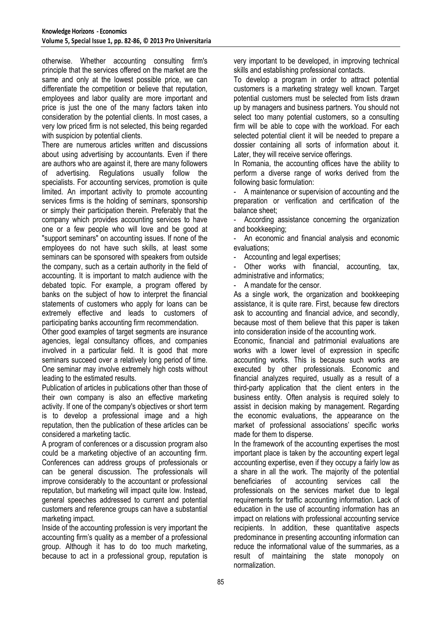otherwise. Whether accounting consulting firm's principle that the services offered on the market are the same and only at the lowest possible price, we can differentiate the competition or believe that reputation, employees and labor quality are more important and price is just the one of the many factors taken into consideration by the potential clients. In most cases, a very low priced firm is not selected, this being regarded with suspicion by potential clients.

There are numerous articles written and discussions about using advertising by accountants. Even if there are authors who are against it, there are many followers of advertising. Regulations usually follow the specialists. For accounting services, promotion is quite limited. An important activity to promote accounting services firms is the holding of seminars, sponsorship or simply their participation therein. Preferably that the company which provides accounting services to have one or a few people who will love and be good at "support seminars" on accounting issues. If none of the employees do not have such skills, at least some seminars can be sponsored with speakers from outside the company, such as a certain authority in the field of accounting. It is important to match audience with the debated topic. For example, a program offered by banks on the subject of how to interpret the financial statements of customers who apply for loans can be extremely effective and leads to customers of participating banks accounting firm recommendation.

Other good examples of target segments are insurance agencies, legal consultancy offices, and companies involved in a particular field. It is good that more seminars succeed over a relatively long period of time. One seminar may involve extremely high costs without leading to the estimated results.

Publication of articles in publications other than those of their own company is also an effective marketing activity. If one of the company's objectives or short term is to develop a professional image and a high reputation, then the publication of these articles can be considered a marketing tactic.

A program of conferences or a discussion program also could be a marketing objective of an accounting firm. Conferences can address groups of professionals or can be general discussion. The professionals will improve considerably to the accountant or professional reputation, but marketing will impact quite low. Instead, general speeches addressed to current and potential customers and reference groups can have a substantial marketing impact.

Inside of the accounting profession is very important the accounting firm's quality as a member of a professional group. Although it has to do too much marketing, because to act in a professional group, reputation is very important to be developed, in improving technical skills and establishing professional contacts.

To develop a program in order to attract potential customers is a marketing strategy well known. Target potential customers must be selected from lists drawn up by managers and business partners. You should not select too many potential customers, so a consulting firm will be able to cope with the workload. For each selected potential client it will be needed to prepare a dossier containing all sorts of information about it. Later, they will receive service offerings.

In Romania, the accounting offices have the ability to perform a diverse range of works derived from the following basic formulation:

A maintenance or supervision of accounting and the preparation or verification and certification of the balance sheet;

According assistance concerning the organization and bookkeeping;

An economic and financial analysis and economic evaluations;

Accounting and legal expertises;

Other works with financial, accounting, tax, administrative and informatics;

- A mandate for the censor.

As a single work, the organization and bookkeeping assistance, it is quite rare. First, because few directors ask to accounting and financial advice, and secondly, because most of them believe that this paper is taken into consideration inside of the accounting work.

Economic, financial and patrimonial evaluations are works with a lower level of expression in specific accounting works. This is because such works are executed by other professionals. Economic and financial analyzes required, usually as a result of a third-party application that the client enters in the business entity. Often analysis is required solely to assist in decision making by management. Regarding the economic evaluations, the appearance on the market of professional associations' specific works made for them to disperse.

In the framework of the accounting expertises the most important place is taken by the accounting expert legal accounting expertise, even if they occupy a fairly low as a share in all the work. The majority of the potential beneficiaries of accounting services call the professionals on the services market due to legal requirements for traffic accounting information. Lack of education in the use of accounting information has an impact on relations with professional accounting service recipients. In addition, these quantitative aspects predominance in presenting accounting information can reduce the informational value of the summaries, as a result of maintaining the state monopoly on normalization.